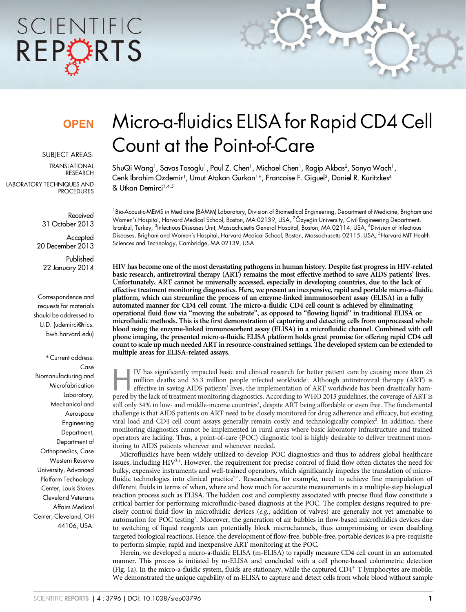# SCIENTIFIC REPORTS

### **OPFN**

SUBJECT AREAS:

TRANSLATIONAL RESEARCH LABORATORY TECHNIQUES AND PROCEDURES

> Received 31 October 2013

Accepted 20 December 2013

Published 22 January 2014

Correspondence and requests for materials should be addressed to U.D. (udemirci@rics. bwh.harvard.edu)

\* Current address: Case Biomanufacturing and Microfabrication Laboratory, Mechanical and Aerospace Engineering Department, Department of Orthopaedics, Case Western Reserve University, Advanced Platform Technology Center, Louis Stokes Cleveland Veterans Affairs Medical Center, Cleveland, OH 44106, USA.

## Micro-a-fluidics ELISA for Rapid CD4 Cell Count at the Point-of-Care

ShuQi Wang', Savas Tasoglu', Paul Z. Chen', Michael Chen', Ragip Akbas<sup>2</sup>, Sonya Wach', Cenk Ibrahim Ozdemir<sup>1</sup>, Umut Atakan Gurkan<sup>1</sup>\*, Francoise F. Giguel<sup>3</sup>, Daniel R. Kuritzkes<sup>4</sup> & Utkan Demirci<sup>1,4,5</sup>

<sup>1</sup> Bio-Acoustic-MEMS in Medicine (BAMM) Laboratory, Division of Biomedical Engineering, Department of Medicine, Brigham and Women's Hospital, Harvard Medical School, Boston, MA 02139, USA, <sup>2</sup>Özyeğin University, Civil Engineering Department, Istanbul, Turkey, <sup>3</sup>Infectious Diseases Unit, Massachusetts General Hospital, Boston, MA 02114, USA, <sup>4</sup>Division of Infectious Diseases, Brigham and Women's Hospital, Harvard Medical School, Boston, Massachusetts 02115, USA, <sup>5</sup>Harvard-MIT Health Sciences and Technology, Cambridge, MA 02139, USA.

HIV has become one of the most devastating pathogens in human history. Despite fast progress in HIV-related basic research, antiretroviral therapy (ART) remains the most effective method to save AIDS patients' lives. Unfortunately, ART cannot be universally accessed, especially in developing countries, due to the lack of effective treatment monitoring diagnostics. Here, we present an inexpensive, rapid and portable micro-a-fluidic platform, which can streamline the process of an enzyme-linked immunosorbent assay (ELISA) in a fully automated manner for CD4 cell count. The micro-a-fluidic CD4 cell count is achieved by eliminating operational fluid flow via ''moving the substrate'', as opposed to ''flowing liquid'' in traditional ELISA or microfluidic methods. This is the first demonstration of capturing and detecting cells from unprocessed whole blood using the enzyme-linked immunosorbent assay (ELISA) in a microfluidic channel. Combined with cell phone imaging, the presented micro-a-fluidic ELISA platform holds great promise for offering rapid CD4 cell count to scale up much needed ART in resource-constrained settings. The developed system can be extended to multiple areas for ELISA-related assays.

IV has significantly impacted basic and clinical research for better patient care by causing more than 25 million deaths and 35.3 million people infected worldwide<sup>1</sup>. Although antiretroviral therapy (ART) is effective in million deaths and 35.3 million people infected worldwide<sup>1</sup>. Although antiretroviral therapy (ART) is effective in saving AIDS patients' lives, the implementation of ART worldwide has been drastically hampered by the lack of treatment monitoring diagnostics. According to WHO 2013 guidelines, the coverage of ART is still only 34% in low- and middle-income countries<sup>1</sup>, despite ART being affordable or even free. The fundamental challenge is that AIDS patients on ART need to be closely monitored for drug adherence and efficacy, but existing viral load and CD4 cell count assays generally remain costly and technologically complex<sup>2</sup>. In addition, these monitoring diagnostics cannot be implemented in rural areas where basic laboratory infrastructure and trained operators are lacking. Thus, a point-of-care (POC) diagnostic tool is highly desirable to deliver treatment monitoring to AIDS patients wherever and whenever needed.

Microfluidics have been widely utilized to develop POC diagnostics and thus to address global healthcare issues, including HIV<sup>3,4</sup>. However, the requirement for precise control of fluid flow often dictates the need for bulky, expensive instruments and well-trained operators, which significantly impedes the translation of microfluidic technologies into clinical practice<sup>5,6</sup>. Researchers, for example, need to achieve fine manipulation of different fluids in terms of when, where and how much for accurate measurements in a multiple-step biological reaction process such as ELISA. The hidden cost and complexity associated with precise fluid flow constitute a critical barrier for performing microfluidic-based diagnosis at the POC. The complex designs required to precisely control fluid flow in microfluidic devices (e.g., addition of valves) are generally not yet amenable to automation for POC testing<sup>7</sup>. Moreover, the generation of air bubbles in flow-based microfluidics devices due to switching of liquid reagents can potentially block microchannels, thus compromising or even disabling targeted biological reactions. Hence, the development of flow-free, bubble-free, portable devices is a pre-requisite to perform simple, rapid and inexpensive ART monitoring at the POC.

Herein, we developed a micro-a-fluidic ELISA (m-ELISA) to rapidly measure CD4 cell count in an automated manner. This process is initiated by m-ELISA and concluded with a cell phone-based colorimetric detection (Fig. 1a). In the micro-a-fluidic system, fluids are stationary, while the captured CD4<sup>+</sup> T lymphocytes are mobile. We demonstrated the unique capability of m-ELISA to capture and detect cells from whole blood without sample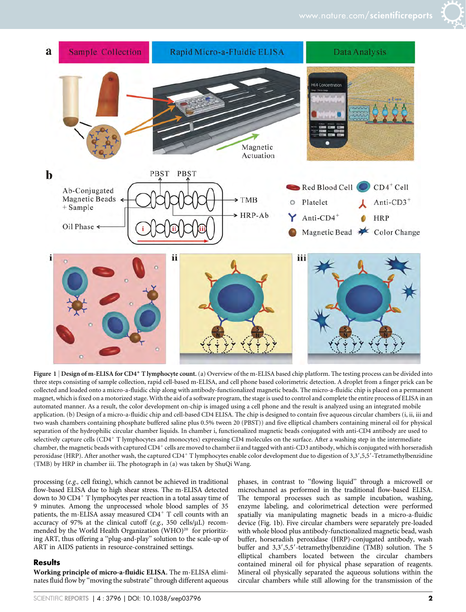



Figure  $1$  Design of m-ELISA for CD4<sup>+</sup> T lymphocyte count. (a) Overview of the m-ELISA based chip platform. The testing process can be divided into three steps consisting of sample collection, rapid cell-based m-ELISA, and cell phone based colorimetric detection. A droplet from a finger prick can be collected and loaded onto a micro-a-fluidic chip along with antibody-functionalized magnetic beads. The micro-a-fluidic chip is placed on a permanent magnet, which is fixed on a motorized stage. With the aid of a software program, the stage is used to control and complete the entire process of ELISA in an automated manner. As a result, the color development on-chip is imaged using a cell phone and the result is analyzed using an integrated mobile application. (b) Design of a micro-a-fluidic chip and cell-based CD4 ELISA. The chip is designed to contain five aqueous circular chambers (i, ii, iii and two wash chambers containing phosphate buffered saline plus 0.5% tween 20 (PBST)) and five elliptical chambers containing mineral oil for physical separation of the hydrophilic circular chamber liquids. In chamber i, functionalized magnetic beads conjugated with anti-CD4 antibody are used to selectively capture cells (CD4<sup>+</sup> T lymphocytes and monocytes) expressing CD4 molecules on the surface. After a washing step in the intermediate chamber, the magnetic beads with captured CD4<sup>+</sup> cells are moved to chamber ii and tagged with anti-CD3 antibody, which is conjugated with horseradish peroxidase (HRP). After another wash, the captured CD4<sup>+</sup> T lymphocytes enable color development due to digestion of 3,3',5,5'-Tetramethylbenzidine (TMB) by HRP in chamber iii. The photograph in (a) was taken by ShuQi Wang.

processing (e.g., cell fixing), which cannot be achieved in traditional flow-based ELISA due to high shear stress. The m-ELISA detected down to 30 CD4<sup>+</sup> T lymphocytes per reaction in a total assay time of 9 minutes. Among the unprocessed whole blood samples of 35 patients, the m-ELISA assay measured  $CD4^+$  T cell counts with an accuracy of 97% at the clinical cutoff (e.g., 350 cells/ $\mu$ L) recommended by the World Health Organization (WHO)<sup>20</sup> for prioritizing ART, thus offering a ''plug-and-play'' solution to the scale-up of ART in AIDS patients in resource-constrained settings.

#### **Results**

Working principle of micro-a-fluidic ELISA. The m-ELISA eliminates fluid flow by ''moving the substrate'' through different aqueous phases, in contrast to ''flowing liquid'' through a microwell or microchannel as performed in the traditional flow-based ELISA. The temporal processes such as sample incubation, washing, enzyme labeling, and colorimetrical detection were performed spatially via manipulating magnetic beads in a micro-a-fluidic device (Fig. 1b). Five circular chambers were separately pre-loaded with whole blood plus antibody-functionalized magnetic bead, wash buffer, horseradish peroxidase (HRP)-conjugated antibody, wash buffer and 3,3',5,5'-tetramethylbenzidine (TMB) solution. The 5 elliptical chambers located between the circular chambers contained mineral oil for physical phase separation of reagents. Mineral oil physically separated the aqueous solutions within the circular chambers while still allowing for the transmission of the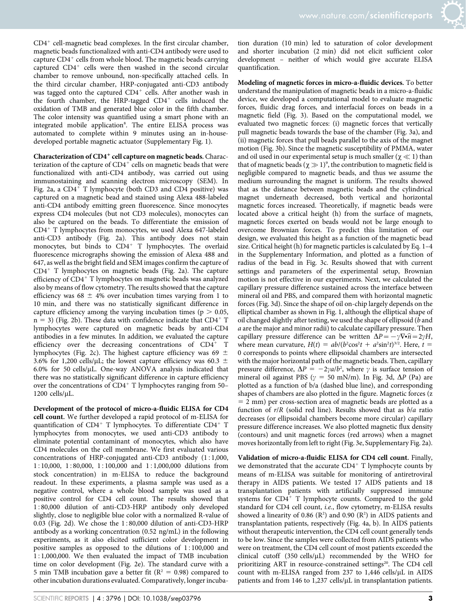$CD4<sup>+</sup>$  cell-magnetic bead complexes. In the first circular chamber, magnetic beads functionalized with anti-CD4 antibody were used to capture  $CD4^+$  cells from whole blood. The magnetic beads carrying captured  $CD4^+$  cells were then washed in the second circular chamber to remove unbound, non-specifically attached cells. In the third circular chamber, HRP-conjugated anti-CD3 antibody was tagged onto the captured CD4<sup>+</sup> cells. After another wash in the fourth chamber, the HRP-tagged  $CD4^+$  cells induced the oxidation of TMB and generated blue color in the fifth chamber. The color intensity was quantified using a smart phone with an integrated mobile application<sup>8</sup>. The entire ELISA process was automated to complete within 9 minutes using an in-housedeveloped portable magnetic actuator (Supplementary Fig. 1).

Characterization of CD4<sup>+</sup> cell capture on magnetic beads. Characterization of the capture of  $CD4^+$  cells on magnetic beads that were functionalized with anti-CD4 antibody, was carried out using immunostaining and scanning electron microscopy (SEM). In Fig. 2a, a  $CD4^+$  T lymphocyte (both CD3 and CD4 positive) was captured on a magnetic bead and stained using Alexa 488-labeled anti-CD4 antibody emitting green fluorescence. Since monocytes express CD4 molecules (but not CD3 molecules), monocytes can also be captured on the beads. To differentiate the emission of  $CD4<sup>+</sup>$  T lymphocytes from monocytes, we used Alexa 647-labeled anti-CD3 antibody (Fig. 2a). This antibody does not stain monocytes, but binds to CD4<sup>+</sup> T lymphocytes. The overlaid fluorescence micrographs showing the emission of Alexa 488 and 647, as well as the bright field and SEM images confirm the capture of  $CD4^+$  T lymphocytes on magnetic beads (Fig. 2a). The capture efficiency of  $CD4^+$  T lymphocytes on magnetic beads was analyzed also by means of flow cytometry. The results showed that the capture efficiency was  $68 \pm 4\%$  over incubation times varying from 1 to 10 min, and there was no statistically significant difference in capture efficiency among the varying incubation times ( $p > 0.05$ ,  $n = 3$ ) (Fig. 2b). These data with confidence indicate that CD4<sup>+</sup> T lymphocytes were captured on magnetic beads by anti-CD4 antibodies in a few minutes. In addition, we evaluated the capture efficiency over the decreasing concentrations of  $CD4^+$  T lymphocytes (Fig. 2c). The highest capture efficiency was 69  $\pm$ 3.6% for 1,200 cells/ $\mu$ L; the lowest capture efficiency was 60.3  $\pm$  $6.0\%$  for 50 cells/ $\mu$ L. One-way ANOVA analysis indicated that there was no statistically significant difference in capture efficiency over the concentrations of  $CD4^+$  T lymphocytes ranging from 50–  $1200$  cells/ $\mu$ L.

Development of the protocol of micro-a-fluidic ELISA for CD4 cell count. We further developed a rapid protocol of m-ELISA for quantification of  $CD4^+$  T lymphocytes. To differentiate  $CD4^+$  T lymphocytes from monocytes, we used anti-CD3 antibody to eliminate potential contaminant of monocytes, which also have CD4 molecules on the cell membrane. We first evaluated various concentrations of HRP-conjugated anti-CD3 antibody  $(1:1,000,$ 1:10,000, 1:80,000, 1:100,000 and 1:1,000,000 dilutions from stock concentration) in m-ELISA to reduce the background readout. In these experiments, a plasma sample was used as a negative control, where a whole blood sample was used as a positive control for CD4 cell count. The results showed that 1:80,000 dilution of anti-CD3-HRP antibody only developed slightly, close to negligible blue color with a normalized R-value of  $0.03$  (Fig. 2d). We chose the  $1:80,000$  dilution of anti-CD3-HRP antibody as a working concentration (0.52 ng/mL) in the following experiments, as it also elicited sufficient color development in positive samples as opposed to the dilutions of  $1:100,000$  and 151,000,000. We then evaluated the impact of TMB incubation time on color development (Fig. 2e). The standard curve with a 5 min TMB incubation gave a better fit ( $R^2 = 0.98$ ) compared to other incubation durations evaluated. Comparatively, longer incuba-

tion duration (10 min) led to saturation of color development and shorter incubation (2 min) did not elicit sufficient color development – neither of which would give accurate ELISA quantification.

Modeling of magnetic forces in micro-a-fluidic devices. To better understand the manipulation of magnetic beads in a micro-a-fluidic device, we developed a computational model to evaluate magnetic forces, fluidic drag forces, and interfacial forces on beads in a magnetic field (Fig. 3). Based on the computational model, we evaluated two magnetic forces: (i) magnetic forces that vertically pull magnetic beads towards the base of the chamber (Fig. 3a), and (ii) magnetic forces that pull beads parallel to the axis of the magnet motion (Fig. 3b). Since the magnetic susceptibility of PMMA, water and oil used in our experimental setup is much smaller ( $\chi \ll 1$ ) than that of magnetic beads ( $\chi \gg 1$ )<sup>9</sup>, the contribution to magnetic field is negligible compared to magnetic beads, and thus we assume the medium surrounding the magnet is uniform. The results showed that as the distance between magnetic beads and the cylindrical magnet underneath decreased, both vertical and horizontal magnetic forces increased. Theoretically, if magnetic beads were located above a critical height (h) from the surface of magnets, magnetic forces exerted on beads would not be large enough to overcome Brownian forces. To predict this limitation of our design, we evaluated this height as a function of the magnetic bead size. Critical height (h) for magnetic particles is calculated by Eq. 1–4 in the Supplementary Information, and plotted as a function of radius of the bead in Fig. 3c. Results showed that with current settings and parameters of the experimental setup, Brownian motion is not effective in our experiments. Next, we calculated the capillary pressure difference sustained across the interface between mineral oil and PBS, and compared them with horizontal magnetic forces (Fig. 3d). Since the shape of oil on-chip largely depends on the elliptical chamber as shown in Fig. 1, although the elliptical shape of oil changed slightly after testing, we used the shape of ellipsoid (b and a are the major and minor radii) to calculate capillary pressure. Then capillary pressure difference can be written  $\Delta P = -\gamma \nabla \cdot \hat{n} = 2\gamma H$ , where mean curvature,  $H(t) = ab/(b^2 \cos^2 t + a^2 \sin^2 t)^{3/2}$ . Here,  $t =$ 0 corresponds to points where ellipsoidal chambers are intersected with the major horizontal path of the magnetic beads. Then, capillary pressure difference,  $\Delta P = -2\gamma a/b^2$ , where  $\gamma$  is surface tension of mineral oil against PBS ( $\gamma = 50$  mN/m). In Fig. 3d,  $\Delta P$  (Pa) are plotted as a function of b/a (dashed blue line), and corresponding shapes of chambers are also plotted in the figure. Magnetic forces (z  $= 2$  mm) per cross-section area of magnetic beads are plotted as a function of  $r/R$  (solid red line). Results showed that as  $b/a$  ratio decreases (or ellipsoidal chambers become more circular) capillary pressure difference increases. We also plotted magnetic flux density (contours) and unit magnetic forces (red arrows) when a magnet moves horizontally from left to right (Fig. 3e, Supplementary Fig. 2a).

Validation of micro-a-fluidic ELISA for CD4 cell count. Finally, we demonstrated that the accurate  $CD4^+$  T lymphocyte counts by means of m-ELISA was suitable for monitoring of antiretroviral therapy in AIDS patients. We tested 17 AIDS patients and 18 transplantation patients with artificially suppressed immune systems for  $CD4^+$  T lymphocyte counts. Compared to the gold standard for CD4 cell count, i.e., flow cytometry, m-ELISA results showed a linearity of 0.86  $(R^2)$  and 0.90  $(R^2)$  in AIDS patients and transplantation patients, respectively (Fig. 4a, b). In AIDS patients without therapeutic intervention, the CD4 cell count generally tends to be low. Since the samples were collected from AIDS patients who were on treatment, the CD4 cell count of most patients exceeded the clinical cutoff (350 cells/ $\mu$ L) recommended by the WHO for prioritizing ART in resource-constrained settings<sup>20</sup>. The CD4 cell count with m-ELISA ranged from  $237$  to  $1,446$  cells/ $\mu$ L in AIDS patients and from 146 to 1,237 cells/ $\mu$ L in transplantation patients.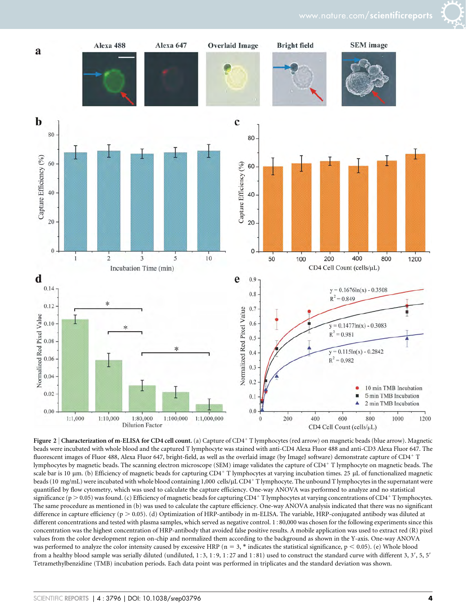

Figure 2 | Characterization of m-ELISA for CD4 cell count. (a) Capture of CD4+T lymphocytes (red arrow) on magnetic beads (blue arrow). Magnetic beads were incubated with whole blood and the captured T lymphocyte was stained with anti-CD4 Alexa Fluor 488 and anti-CD3 Alexa Fluor 647. The fluorescent images of Fluor 488, Alexa Fluor 647, bright-field, as well as the overlaid image (by ImageJ software) demonstrate capture of CD4<sup>+</sup> T lymphocytes by magnetic beads. The scanning electron microscope (SEM) image validates the capture of CD4<sup>1</sup> T lymphocyte on magnetic beads. The scale bar is 10  $\mu$ m. (b) Efficiency of magnetic beads for capturing CD4<sup>+</sup> T lymphocytes at varying incubation times. 25  $\mu$ L of functionalized magnetic beads (10 mg/mL) were incubated with whole blood containing 1,000 cells/µL CD4<sup>+</sup> T lymphocyte. The unbound T lymphocytes in the supernatant were quantified by flow cytometry, which was used to calculate the capture efficiency. One-way ANOVA was performed to analyze and no statistical significance ( $p > 0.05$ ) was found. (c) Efficiency of magnetic beads for capturing CD4<sup>+</sup> T lymphocytes at varying concentrations of CD4<sup>+</sup> T lymphocytes. The same procedure as mentioned in (b) was used to calculate the capture efficiency. One-way ANOVA analysis indicated that there was no significant difference in capture efficiency ( $p > 0.05$ ). (d) Optimization of HRP-antibody in m-ELISA. The variable, HRP-conjugated antibody was diluted at different concentrations and tested with plasma samples, which served as negative control. 1:80,000 was chosen for the following experiments since this concentration was the highest concentration of HRP-antibody that avoided false positive results. A mobile application was used to extract red (R) pixel values from the color development region on-chip and normalized them according to the background as shown in the Y-axis. One-way ANOVA was performed to analyze the color intensity caused by excessive HRP ( $n = 3$ , \* indicates the statistical significance,  $p < 0.05$ ). (e) Whole blood from a healthy blood sample was serially diluted (undiluted,  $1:3, 1:9, 1:27$  and  $1:81$ ) used to construct the standard curve with different 3, 3', 5, 5' Tetramethylbenzidine (TMB) incubation periods. Each data point was performed in triplicates and the standard deviation was shown.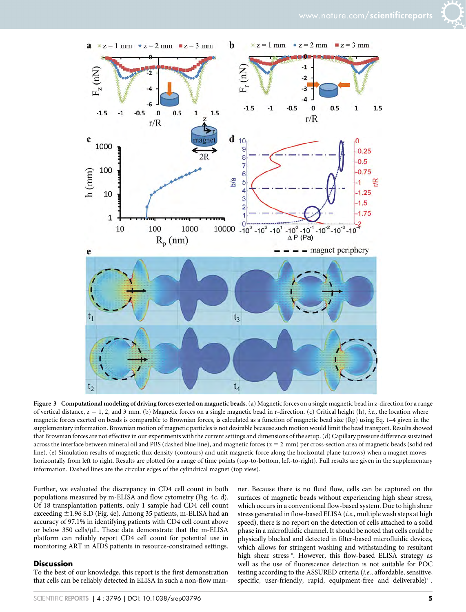



Figure 3 | Computational modeling of driving forces exerted on magnetic beads. (a) Magnetic forces on a single magnetic bead in z-direction for a range of vertical distance,  $z = 1, 2$ , and 3 mm. (b) Magnetic forces on a single magnetic bead in r-direction. (c) Critical height (h), *i.e.*, the location where magnetic forces exerted on beads is comparable to Brownian forces, is calculated as a function of magnetic bead size (Rp) using Eq. 1–4 given in the supplementary information. Brownian motion of magnetic particles is not desirable because such motion would limit the bead transport. Results showed that Brownian forces are not effective in our experiments with the current settings and dimensions of the setup. (d) Capillary pressure difference sustained across the interface between mineral oil and PBS (dashed blue line), and magnetic forces  $(z = 2 \text{ mm})$  per cross-section area of magnetic beads (solid red line). (e) Simulation results of magnetic flux density (contours) and unit magnetic force along the horizontal plane (arrows) when a magnet moves horizontally from left to right. Results are plotted for a range of time points (top-to-bottom, left-to-right). Full results are given in the supplementary information. Dashed lines are the circular edges of the cylindrical magnet (top view).

Further, we evaluated the discrepancy in CD4 cell count in both populations measured by m-ELISA and flow cytometry (Fig. 4c, d). Of 18 transplantation patients, only 1 sample had CD4 cell count exceeding  $\pm$ 1.96 S.D (Fig. 4e). Among 35 patients, m-ELISA had an accuracy of 97.1% in identifying patients with CD4 cell count above or below 350 cells/ $\mu$ L. These data demonstrate that the m-ELISA platform can reliably report CD4 cell count for potential use in monitoring ART in AIDS patients in resource-constrained settings.

#### Discussion

To the best of our knowledge, this report is the first demonstration that cells can be reliably detected in ELISA in such a non-flow manner. Because there is no fluid flow, cells can be captured on the surfaces of magnetic beads without experiencing high shear stress, which occurs in a conventional flow-based system. Due to high shear stress generated in flow-based ELISA (i.e., multiple wash steps at high speed), there is no report on the detection of cells attached to a solid phase in a microfluidic channel. It should be noted that cells could be physically blocked and detected in filter-based microfluidic devices, which allows for stringent washing and withstanding to resultant high shear stress<sup>10</sup>. However, this flow-based ELISA strategy as well as the use of fluorescence detection is not suitable for POC testing according to the ASSURED criteria (i.e., affordable, sensitive, specific, user-friendly, rapid, equipment-free and deliverable) $^{11}$ .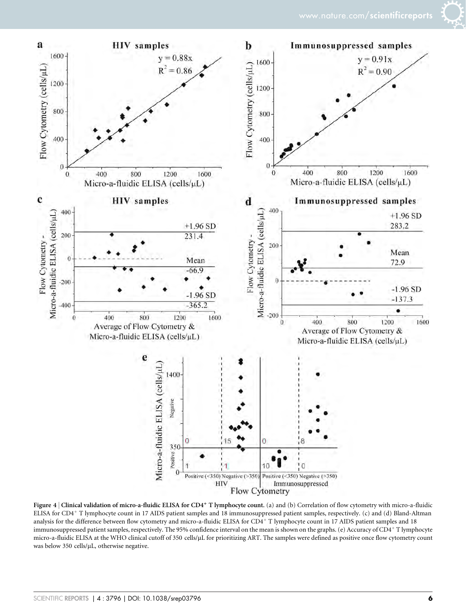

Figure 4 | Clinical validation of micro-a-fluidic ELISA for CD4<sup>+</sup> T lymphocyte count. (a) and (b) Correlation of flow cytometry with micro-a-fluidic ELISA for CD4<sup>+</sup> T lymphocyte count in 17 AIDS patient samples and 18 immunosuppressed patient samples, respectively. (c) and (d) Bland-Altman analysis for the difference between flow cytometry and micro-a-fluidic ELISA for CD4<sup>+</sup> T lymphocyte count in 17 AIDS patient samples and 18 immunosuppressed patient samples, respectively. The 95% confidence interval on the mean is shown on the graphs. (e) Accuracy of CD4+T lymphocyte micro-a-fluidic ELISA at the WHO clinical cutoff of 350 cells/µL for prioritizing ART. The samples were defined as positive once flow cytometry count was below 350 cells/ $\mu$ L, otherwise negative.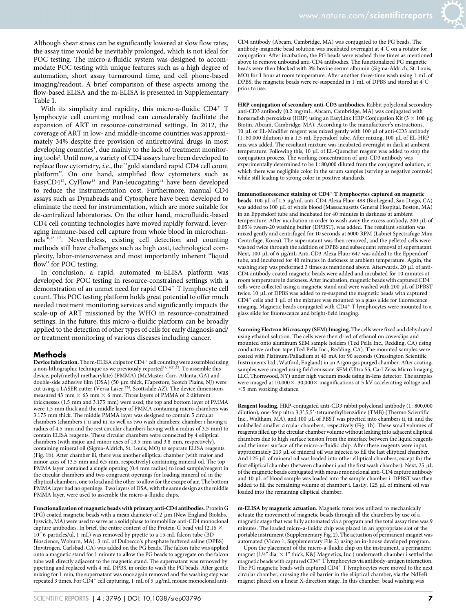Although shear stress can be significantly lowered at slow flow rates, the assay time would be inevitably prolonged, which is not ideal for POC testing. The micro-a-fluidic system was designed to accommodate POC testing with unique features such as a high degree of automation, short assay turnaround time, and cell phone-based imaging/readout. A brief comparison of these aspects among the flow-based ELISA and the m-ELISA is presented in Supplementary Table 1.

With its simplicity and rapidity, this micro-a-fluidic  $CD4^+$  T lymphocyte cell counting method can considerably facilitate the expansion of ART in resource-constrained settings. In 2012, the coverage of ART in low- and middle-income countries was approximately 34% despite free provision of antiretroviral drugs in most developing countries<sup>1</sup>, due mainly to the lack of treatment monitoring tools2 . Until now, a variety of CD4 assays have been developed to replace flow cytometry, i.e., the ''gold standard rapid CD4 cell count platform''. On one hand, simplified flow cytometers such as EasyCD4<sup>12</sup>, CyFlow<sup>13</sup> and Pan-leucogating<sup>14</sup> have been developed to reduce the instrumentation cost. Furthermore, manual CD4 assays such as Dynabeads and Cytosphere have been developed to eliminate the need for instrumentation, which are more suitable for de-centralized laboratories. On the other hand, microfluidic-based CD4 cell counting technologies have moved rapidly forward, leveraging immune-based cell capture from whole blood in microchannels<sup>10,15-17</sup>. Nevertheless, existing cell detection and counting methods still have challenges such as high cost, technological complexity, labor-intensiveness and most importantly inherent ''liquid flow'' for POC testing.

In conclusion, a rapid, automated m-ELISA platform was developed for POC testing in resource-constrained settings with a demonstration of an unmet need for rapid CD4<sup>+</sup> T lymphocyte cell count. This POC testing platform holds great potential to offer much needed treatment monitoring services and significantly impacts the scale-up of ART missioned by the WHO in resource-constrained settings. In the future, this micro-a-fluidic platform can be broadly applied to the detection of other types of cells for early diagnosis and/ or treatment monitoring of various diseases including cancer.

#### Methods

Device fabrication. The m-ELISA chips for  $CD4^+$  cell counting were assembled using a non-lithographic technique as we previously reported<sup>18,19,21,22</sup>. To assemble this device, poly(methyl methacrylate) (PMMA) (McMaster-Carr, Atlanta, GA) and double-side adhesive film (DSA) (50 µm thick, iTapestore, Scotch Plains, NJ) were cut using a LASER cutter (Versa Laser  $TM$ , Scottsdale AZ). The device dimensions measured 43 mm  $\times$  63 mm  $\times$  6 mm. Three layers of PMMA of 2 different thicknesses (1.5 mm and 3.175 mm) were used; the top and bottom layer of PMMA were 1.5 mm thick and the middle layer of PMMA containing micro-chambers was 3.175 mm thick. The middle PMMA layer was designed to contain 5 circular chambers (chambers i, ii and iii, as well as two wash chambers; chamber i having a radius of 4.5 mm and the rest circular chambers having with a radius of 3.5 mm) to contain ELISA reagents. These circular chambers were connected by 4 elliptical chambers (with major and minor axes of 13.5 mm and 3.8 mm, respectively), containing mineral oil (Sigma-Aldrich, St. Louis, MO) to separate ELISA reagents (Fig. 1b). After chamber iii, there was another elliptical chamber (with major and minor axes of 13.5 mm and 6.5 mm, respectively) containing mineral oil. The top PMMA layer contained a single opening (0.4 mm radius) to load sample/reagent in the circular chambers and two congruent openings for loading mineral oil in the elliptical chambers, one to load and the other to allow for the escape of air. The bottom PMMA layer had no openings. Two layers of DSA, with the same design as the middle PMMA layer, were used to assemble the micro-a-fluidic chips.

Functionalization of magnetic beads with primary anti-CD4 antibodies. Protein G (PG) coated magnetic beads with a mean diameter of 2  $\mu$ m (New England Biolabs, Ipswich, MA) were used to serve as a solid phase to immobilize anti-CD4 monoclonal capture antibodies. In brief, the entire content of the Protein-G bead vial (2.16  $\times$  $10^{\text{6}}$  particles/ul, 1 mL) was removed by pipette to a 15-mL falcon tube (BD) Bioscience, Woburn, MA). 3 mL of Dulbecco's phosphate buffered saline (DPBS) (Invitrogen, Carlsbad, CA) was added on the PG beads. The falcon tube was applied onto a magnetic stand for 1 minute to allow the PG beads to aggregate on the falcon tube wall directly adjacent to the magnetic stand. The supernatant was removed by pipetting and replaced with 4 mL DPBS, in order to wash the PG beads. After gentle mixing for 1 min, the supernatant was once again removed and the washing step was repeated 3 times. For CD4<sup>+</sup> cell capturing, 1 mL of 5 µg/mL mouse monoclonal antiCD4 antibody (Abcam, Cambridge, MA) was conjugated to the PG beads. The antibody-magnetic bead solution was incubated overnight at  $4^{\circ}$ C on a rotator for conjugation. After incubation, the PG beads were washed three times as mentioned above to remove unbound anti-CD4 antibodies. The functionalized PG magnetic beads were then blocked with 3% bovine serum albumin (Sigma-Aldrich, St. Louis, MO) for 1 hour at room temperature. After another three-time wash using 1 mL of DPBS, the magnetic beads were re-suspended in 1 mL of DPBS and stored at  $4^{\circ}$ C prior to use.

HRP conjugation of secondary anti-CD3 antibodies. Rabbit polyclonal secondary anti-CD3 antibody (0.2 mg/mL, Abcam, Cambridge, MA) was conjugated with horseradish peroxidase (HRP) using an EasyLink HRP Conjugation Kit ( $3 \times 100 \mu$ g Biotin, Abcam, Cambridge, MA). According to the manufacturer's instructions, 10 µL of EL-Modifier reagent was mixed gently with 100 µl of anti-CD3 antibody  $(1:80,000$  dilution) in a 1.5 mL Eppendorf tube. After mixing, 100 µL of EL-HRP mix was added. The resultant mixture was incubated overnight in dark at ambient temperature. Following this, 10 µL of EL-Quencher reagent was added to stop the conjugation process. The working concentration of anti-CD3 antibody was experimentally determined to be 1:80,000 diluted from the conjugated solution, at which there was negligible color in the serum samples (serving as negative controls) while still leading to strong color in positive standards.

#### Immunofluorescence staining of  $CD4^+$  T lymphocytes captured on magnetic

beads. 100 mL of 1.5 mg/mL anti-CD4 Alexa Fluor 488 (BioLegend, San Diego, CA) was added to 100 µL of whole blood (Massachusetts General Hospital, Boston, MA) in an Eppendorf tube and incubated for 40 minutes in darkness at ambient temperature. After incubation in order to wash away the excess antibody, 200 mL of 0.05% tween-20 washing buffer (DPBST), was added. The resultant solution was mixed gently and centrifuged for 10 seconds at 6000 RPM (Labnet Spectrafuge Mini Centrifuge, Korea). The supernatant was then removed, and the pelleted cells were washed twice through the addition of DPBS and subsequent removal of supernatant. Next, 100 μL of 6 μg/mL Anti-CD3 Alexa Fluor 647 was added to the Eppendorf tube, and incubated for 40 minutes in darkness at ambient temperature. Again, the washing step was preformed 3 times as mentioned above. Afterwards, 20 µL of anti-CD4 antibody coated magnetic beads were added and incubated for 10 minutes at room temperature in darkness. After incubation, magnetic beads with captured CD4<sup>+</sup> cells were collected using a magnetic stand and were washed with 200 µL of DPBST twice. 10 µL of DPBS was added to re-suspend the magnetic beads with captured  $CD4^+$  cells and 1 µL of the mixture was mounted to a glass slide for fluorescence imaging. Magnetic beads conjugated with  $CD4+T$  lymphocytes were mounted to a glass slide for fluorescence and bright-field imaging.

Scanning Electron Microscopy (SEM) Imaging. The cells were fixed and dehydrated using ethanol solution. The cells were then dried of ethanol on coverslips and mounted onto aluminum SEM sample holders (Ted Pella Inc., Redding, CA) using conductive carbon tape (Ted Pella Inc., Redding, CA). The mounted samples were coated with Platinum/Palladium at 40 mA for 90 seconds (Cressington Scientific Instruments Ltd., Watford, England) in an Argon gas purged chamber. After coating, samples were imaged using field emission SEM (Ultra 55, Carl Zeiss Micro Imaging LLC, Thornwood, NY) under high vacuum mode using in-lens detector. The samples were imaged at  $10,000\times-30,000\times$  magnifications at 5 kV accelerating voltage and ,5 mm working distance.

Reagent loading. HRP-conjugated anti-CD3 rabbit polyclonal antibody (1:800,000 dilution), one-Step ultra 3,3',5,5'-tetramethylbenzidine (TMB) (Thermo Scientific Inc., Waltham, MA), and 100 µL of PBST was pipetted into chambers ii, iii, and the unlabelled smaller circular chambers, respectively (Fig. 1b). These small volumes of reagents filled up the circular chamber volume without leaking into adjacent elliptical chambers due to high surface tension from the interface between the liquid reagents and the inner surface of the micro-a-fluidic chip. After these reagents were input, approximately 213 µL of mineral oil was injected to fill the last elliptical chamber. And 125 µL of mineral oil was loaded into other elliptical chambers, except for the first elliptical chamber (between chamber i and the first wash chamber). Next, 25 µL of the magnetic beads conjugated with mouse monoclonal anti-CD4 capture antibody and 10 µL of blood sample was loaded into the sample chamber i. DPBST was then added to fill the remaining volume of chamber i. Lastly, 125 µL of mineral oil was loaded into the remaining elliptical chamber.

m-ELISA by magnetic actuation. Magnetic force was utilized to mechanically actuate the movement of magnetic beads through all the chambers by use of a magnetic stage that was fully automated via a program and the total assay time was 9 minutes. The loaded micro-a-fluidic chip was placed in an appropriate slot of the portable instrument (Supplementary Fig. 2). The actuation of permanent magnet was automated (Video 1, Supplementary File 2) using an in-house developed program.

Upon the placement of the micro-a-fluidic chip on the instrument, a permanent magnet (1/4" dia.  $\times$  1" thick, K&J Magnetics, Inc.) underneath chamber i settled the magnetic beads with captured CD4<sup>+</sup> T lymphocytes via antibody-antigen interaction. The PG magnetic beads with captured  $CD4+T$  lymphocytes were moved to the next circular chamber, crossing the oil barrier in the elliptical chamber, via the NdFeB magnet placed on a linear X-direction stage. In this chamber, bead washing was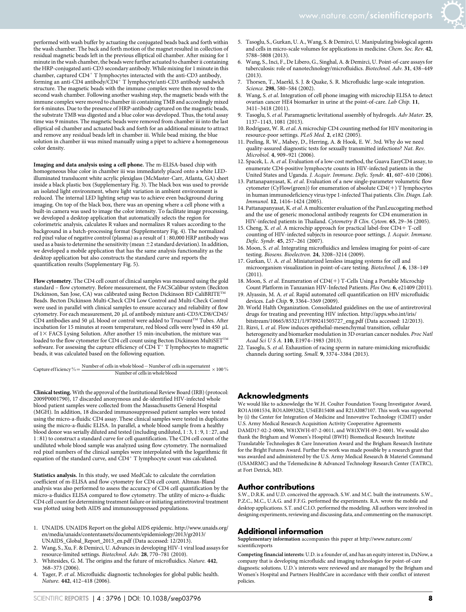performed with wash buffer by actuating the conjugated beads back and forth within the wash chamber. The back and forth motion of the magnet resulted in collection of residual magnetic beads left in the previous elliptical oil chamber. After mixing for 1 minute in the wash chamber, the beads were further actuated to chamber ii containing the HRP-conjugated anti-CD3 secondary antibody. While mixing for 1 minute in this chamber, captured  $CD4^+$  T lymphocytes interacted with the anti-CD3 antibody, forming an anti-CD4 antibody/CD4<sup>+</sup> T lymphocyte/anti-CD3 antibody sandwich structure. The magnetic beads with the immune complex were then moved to the second wash chamber. Following another washing step, the magnetic beads with the immune complex were moved to chamber iii containing TMB and accordingly mixed for 6 minutes. Due to the presence of HRP-antibody captured on the magnetic beads, the substrate TMB was digested and a blue color was developed. Thus, the total assay time was 9 minutes. The magnetic beads were removed from chamber iii into the last elliptical oil chamber and actuated back and forth for an additional minute to attract and remove any residual beads left in chamber iii. While bead mixing, the blue solution in chamber iii was mixed manually using a pipet to achieve a homogeneous color density.

Imaging and data analysis using a cell phone. The m-ELISA-based chip with homogeneous blue color in chamber iii was immediately placed onto a white LEDilluminated translucent white acrylic plexiglass (McMaster-Carr, Atlanta, GA) sheet inside a black plastic box (Supplementary Fig. 3). The black box was used to provide an isolated light environment, where light variation in ambient environment is reduced. The internal LED lighting setup was to achieve even background during imaging. On top of the black box, there was an opening where a cell phone with a built-in camera was used to image the color intensity. To facilitate image processing, we developed a desktop application that automatically selects the region for colorimetric analysis, calculates R values and normalizes R values according to the background in a batch-processing format (Supplementary Fig. 4). The normalized red pixel value of negative control (plasma) as a result of 1:80,000 HRP antibody was used as a basis to determine the sensitivity (mean  $\pm 2$  standard deviation). In addition, we developed a mobile application that has the same analysis functionality as the desktop application but also constructs the standard curve and reports the quantification results (Supplementary Fig. 5).

Flow cytometry. The CD4 cell count of clinical samples was measured using the gold standard – flow cytometry. Before measurement, the FACSCalibur system (Beckton Dickinson, San Jose, CA) was calibrated using Becton Dickinson BD CaliBRITE<sup>TM</sup> Beads. Becton Dickinson Multi-Check CD4 Low Control and Multi-Check Control were used in parallel with clinical samples to ensure accuracy and reliability of flow cytometry. For each measurement, 20 µL of antibody mixture anti-CD3/CD8/CD45/ CD4 antibodies and 50  $\mu$ L blood or control were added to Trucount<sup>TM</sup> Tubes. After incubation for 15 minutes at room temperature, red blood cells were lysed in 450  $\rm \upmu L$ of  $1\times$  FACS Lysing Solution. After another 15 min-incubation, the mixture was loaded to the flow cytometer for CD4 cell count using Becton Dickinson MultiSET  $\mathbf{T}^{\mathrm{TM}}$ software. For assessing the capture efficiency of  $CD\widetilde{4}$  T<sup>+</sup> T lymphocytes to magnetic beads, it was calculated based on the following equation.

Capture efficiency  $\% = \frac{\text{Number of cells in whole blood} - \text{Number of cells in supernatent}}{\text{Number of cells in whole blood}} \times 100\%$ 

Clinical testing. With the approval of the Institutional Review Board (IRB) (protocol: 2009P0001790), 17 discarded anonymous and de-identified HIV-infected whole blood patient samples were collected from the Massachusetts General Hospital (MGH). In addition, 18 discarded immunosuppressed patient samples were tested using the micro-a-fluidic CD4 assay. These clinical samples were tested in duplicates using the micro-a-fluidic ELISA. In parallel, a whole blood sample from a healthy blood donor was serially diluted and tested (including undiluted,  $1:3, 1:9, 1:27$ , and 1:81) to construct a standard curve for cell quantification. The CD4 cell count of the undiluted whole blood sample was analyzed using flow cytometry. The normalized red pixel numbers of the clinical samples were interpolated with the logarithmic fit equation of the standard curve, and  $\text{CD4}^+$  T lymphocyte count was calculated.

Statistics analysis. In this study, we used MedCalc to calculate the correlation coefficient of m-ELISA and flow cytometry for CD4 cell count. Altman-Bland analysis was also performed to assess the accuracy of CD4 cell quantification by the micro-a-fluidics ELISA compared to flow cytometry. The utility of micro-a-fluidic CD4 cell count for determining treatment failure or initiating antiretroviral treatment was plotted using both AIDS and immunosuppressed populations.

- 1. UNAIDS. UNAIDS Report on the global AIDS epidemic. [http://www.unaids.org/](http://www.unaids.org/en/media/unaids/contentassets/documents/epidemiology/2013/gr2013/UNAIDS_Global_Report_2013_en.pdf) [en/media/unaids/contentassets/documents/epidemiology/2013/gr2013/](http://www.unaids.org/en/media/unaids/contentassets/documents/epidemiology/2013/gr2013/UNAIDS_Global_Report_2013_en.pdf) [UNAIDS\\_Global\\_Report\\_2013\\_en.pdf](http://www.unaids.org/en/media/unaids/contentassets/documents/epidemiology/2013/gr2013/UNAIDS_Global_Report_2013_en.pdf) (Data accessed: 12/2013).
- 2. Wang, S., Xu, F. & Demirci, U. Advances in developing HIV-1 viral load assays for resource-limited settings. Biotechnol. Adv. 28, 770-781 (2010).
- Whitesides, G. M. The origins and the future of microfluidics. Nature. 442, 368–373 (2006).
- 4. Yager, P. et al. Microfluidic diagnostic technologies for global public health. Nature. 442, 412–418 (2006).
- 5. Tasoglu, S., Gurkan, U. A., Wang, S. & Demirci, U. Manipulating biological agents and cells in micro-scale volumes for applications in medicine. Chem. Soc. Rev. 42, 5788–5808 (2013).
- 6. Wang, S., Inci, F., De Libero, G., Singhal, A. & Demirci, U. Point-of-care assays for tuberculosis: role of nanotechnology/microfluidics. Biotechnol. Adv. 31, 438–449 (2013).
- 7. Thorsen, T., Maerkl, S. J. & Quake, S. R. Microfluidic large-scale integration. Science. 298, 580–584 (2002).
- 8. Wang, S. et al. Integration of cell phone imaging with microchip ELISA to detect ovarian cancer HE4 biomarker in urine at the point-of-care. Lab Chip. 11, 3411–3418 (2011).
- 9. Tasoglu, S. et al. Paramagnetic levitational assembly of hydrogels. Adv Mater. 25, 1137–1143, 1081 (2013).
- 10. Rodriguez, W. R.et al. A microchip CD4 counting method for HIV monitoring in resource-poor settings. PLoS Med. 2, e182 (2005).
- 11. Peeling, R. W., Mabey, D., Herring, A. & Hook, E. W. 3rd. Why do we need quality-assured diagnostic tests for sexually transmitted infections? Nat. Rev. Microbiol. 4, 909–921 (2006).
- 12. Spacek, L. A. et al. Evaluation of a low-cost method, the Guava EasyCD4 assay, to enumerate CD4-positive lymphocyte counts in HIV-infected patients in the United States and Uganda. J. Acquir. Immune. Defic. Syndr. 41, 607–610 (2006).
- 13. Pattanapanyasat, K. et al. Evaluation of a new single-parameter volumetric flow cytometer (CyFlow(green)) for enumeration of absolute CD4(+) T lymphocytes in human immunodeficiency virus type 1-infected Thai patients. Clin. Diagn. Lab. Immunol. 12, 1416–1424 (2005).
- 14. Pattanapanyasat, K. et al. A multicenter evaluation of the PanLeucogating method and the use of generic monoclonal antibody reagents for CD4 enumeration in HIV-infected patients in Thailand. Cytometry B Clin. Cytom. 65, 29–36 (2005).
- 15. Cheng, X. et al. A microchip approach for practical label-free CD4+ T-cell counting of HIV-infected subjects in resource-poor settings. J. Acquir. Immune. Defic. Syndr. 45, 257–261 (2007).
- 16. Moon, S. et al. Integrating microfluidics and lensless imaging for point-of-care testing. Biosens. Bioelectron. 24, 3208–3214 (2009).
- 17. Gurkan, U. A. et al. Miniaturized lensless imaging systems for cell and microorganism visualization in point-of-care testing. Biotechnol. J. 6, 138–149 (2011).
- 18. Moon, S. et al. Enumeration of CD4(+) T-Cells Using a Portable Microchip Count Platform in Tanzanian HIV-Infected Patients. Plos One. 6, e21409 (2011).
- 19. Alyassin, M. A. et al. Rapid automated cell quantification on HIV microfluidic devices. Lab Chip. 9, 3364–3369 (2009).
- 20. World Halth Organization. Consolidated guidelines on the use of antiretroviral drugs for treating and preventing HIV infection. [http://apps.who.int/iris/](http://apps.who.int/iris/bitstream/10665/85321/1/9789241505727_eng.pdf) [bitstream/10665/85321/1/9789241505727\\_eng.pdf](http://apps.who.int/iris/bitstream/10665/85321/1/9789241505727_eng.pdf) (Data accessed: 12/2013).
- 21. Rizvi, I. et al. Flow induces epithelial-mesenchymal transition, cellular heterogeneity and biomarker modulation in 3D ovarian cancer nodules. Proc Natl Acad Sci U S A. 110, E1974–1983 (2013).
- 22. Tasoglu, S. et al. Exhaustion of racing sperm in nature-mimicking microfluidic channels during sorting. Small. 9, 3374–3384 (2013).

#### Acknowledgments

We would like to acknowledge the W.H. Coulter Foundation Young Investigator Award, RO1A1081534, RO1AI093282, U54EB15408 and R21AI087107. This work was supported by (i) the Center for Integration of Medicine and Innovative Technology (CIMIT) under U.S. Army Medical Research Acquisition Activity Cooperative Agreements DAMD17-02-2-0006, W81XWH-07-2-0011, and W81XWH-09-2-0001. We would also thank the Brigham and Women's Hospital (BWH) Biomedical Research Institute Translatable Technologies & Care Innovation Award and the Brigham Research Institute for the Bright Futures Award. Further the work was made possible by a research grant that was awarded and administered by the U.S. Army Medical Research & Materiel Command (USAMRMC) and the Telemedicine & Advanced Technology Research Center (TATRC), at Fort Detrick, MD.

#### Author contributions

S.W., D.R.K. and U.D. conceived the approach. S.W. and M.C. built the instruments. S.W., P.Z.C., M.C., U.A.G. and F.F.G. performed the experiments. R.A. wrote the mobile and desktop applications. S.T. and C.I.O. performed the modeling. All authors were involved in designing experiments, reviewing and discussing data, and commenting on the manuscript.

#### Additional information

Supplementary information accompanies this paper at [http://www.nature.com/](http://www.nature.com/scientificreports) [scientificreports](http://www.nature.com/scientificreports)

Competing financial interests: U.D. is a founder of, and has an equity interest in, DxNow, a company that is developing microfluidic and imaging technologies for point-of-care diagnostic solutions. U.D.'s interests were reviewed and are managed by the Brigham and Women's Hospital and Partners HealthCare in accordance with their conflict of interest policies.